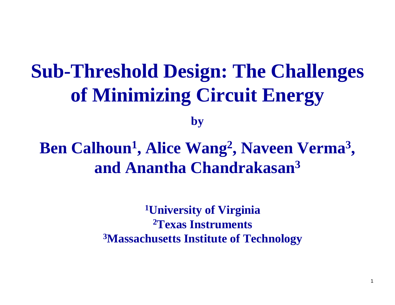# **Sub-Threshold Design: The Challenges of Minimizing Circuit Energy**

**by**

**Ben Calhoun 1, Alice Wang 2, Naveen Verma 3 , and Anantha Chandrakasan 3**

> **1University of Virginia 2Texas Instruments3Massachusetts Institute of Technology**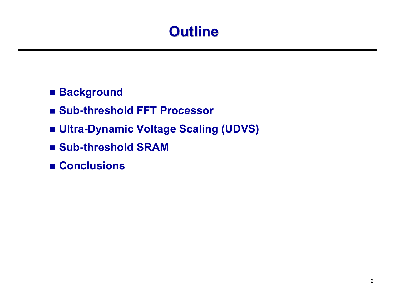# **Outline Outline**

### ■ Background

- Sub-threshold FFT Processor
- **Ultra-Dynamic Voltage Scaling (UDVS)**
- Sub-threshold SRAM
- **Conclusions**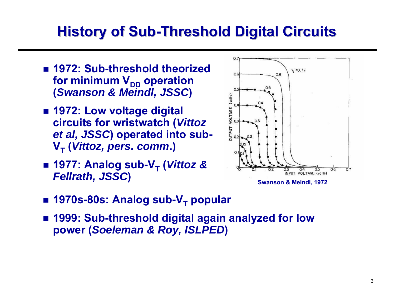# **History of Sub-Threshold Digital Circuits**

- **1972: Sub-threshold theorized**  for minimum V<sub>DD</sub> operation **(***Swanson & Meindl, JSSC***)**
- **1972: Low voltage digital circuits for wristwatch (***Vittoz et al, JSSC***) operated into sub-VT (***Vittoz, pers. comm***.)**
- 1977: Analog sub-V<sub>T</sub> (*Vittoz &* **Fellrath, JSSC**) **SWALL CONSTRUCT CONSTRUCT SWANSON & Meindl, 1972**<br>
Swanson & Meindl, 1972



- 
- 1970s-80s: Analog sub-V<sub>T</sub> popular
- **1999: Sub-threshold digital again analyzed for low power (***Soeleman & Roy, ISLPED***)**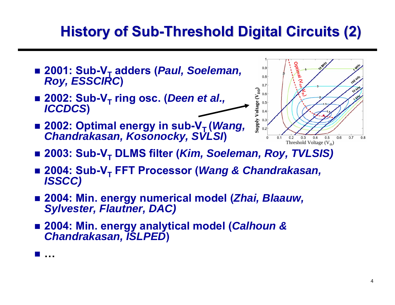# **History of Sub-Threshold Digital Circuits (2)**

- 2001: Sub-V<sub>T</sub> adders (*Paul, Soeleman, Roy, ESSCIRC*)
- 2002: Sub-V<sub>T</sub> ring osc. (*Deen et al., ICCDCS*)
- 2002: Optimal energy in sub-V<sub>T</sub> (*Wang, Chandrakasan, Kosonocky, SVLSI*)



- 2003: Sub-V<sub>T</sub> DLMS filter (*Kim, Soeleman, Roy, TVLSIS)*
- 2004: Sub-V<sub>T</sub> FFT Processor (*Wang & Chandrakasan,*<br>*ISSCC)*
- **2004: Min. energy numerical model (***Zhai, Blaauw, Sylvester, Flautner, DAC)*
- **2004: Min. energy analytical model (***Calhoun & Chandrakasan, ISLPED***)**

 $\mathcal{L}_{\mathcal{A}}$ **…**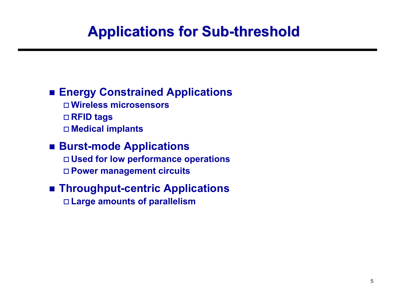# **Applications for Sub Applications for Sub -threshold threshold**

### **Energy Constrained Applications**

- **Wireless microsensors**
- **RFID tags**
- **Medical implants**

#### **Burst-mode Applications Used for low performance operations Power management circuits**

#### **Throughput-centric Applications Large amounts of parallelism**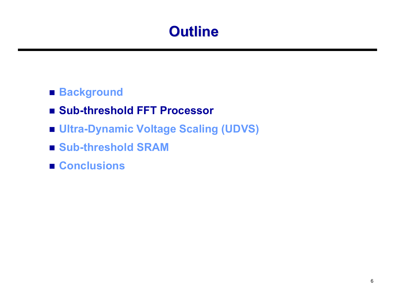# **Outline Outline**

#### **■ Background**

- Sub-threshold FFT Processor
- **Ultra-Dynamic Voltage Scaling (UDVS)**
- Sub-threshold SRAM
- Conclusions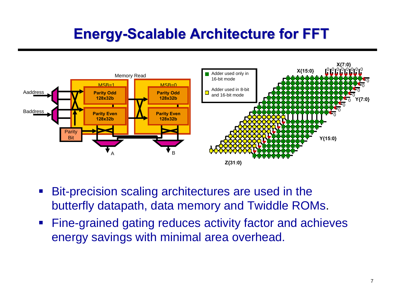# **Energy-Scalable Architecture for FFT**



- $\blacksquare$  Bit-precision scaling architectures are used in the butterfly datapath, data memory and Twiddle ROMs.
- $\mathcal{L}_{\mathcal{A}}$  Fine-grained gating reduces activity factor and achieves energy savings with minimal area overhead.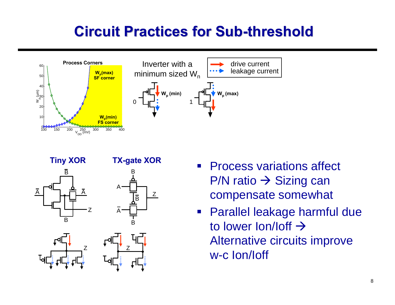### **Circuit Practices for Sub Circuit Practices for Sub-threshold threshold**



B

A

B





- $\mathcal{L}_{\mathcal{A}}$  Process variations affect P/N ratio  $\rightarrow$  Sizing can compensate somewhat
- $\mathcal{L}_{\mathcal{A}}$  Parallel leakage harmful due to lower lon/loff  $\rightarrow$ Alternative circuits improve w-c Ion/Ioff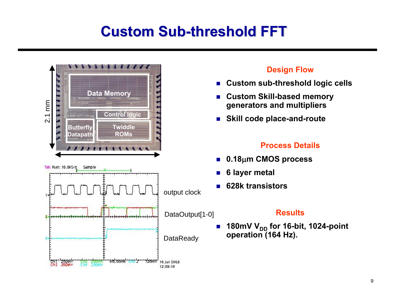# **Custom Sub Custom Sub-threshold FFT threshold FFT**

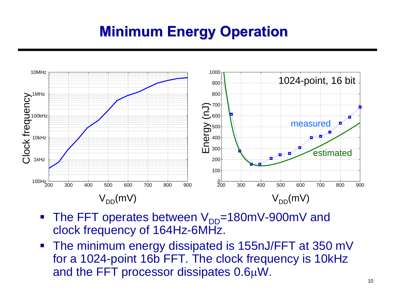# **Minimum Energy Operation Minimum Energy Operation**



- The FFT operates between  $V_{DD}$ =180mV-900mV and clock frequency of 164Hz-6MHz.
- The minimum energy dissipated is 155nJ/FFT at 350 mV for a 1024-point 16b FFT. The clock frequency is 10kHz and the FFT processor dissipates 0.6μW.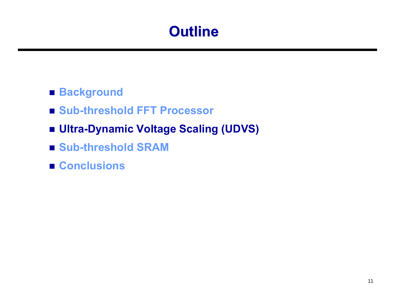# **Outline Outline**

#### **■ Background**

- Sub-threshold FFT Processor
- **Ultra-Dynamic Voltage Scaling (UDVS)**
- Sub-threshold SRAM
- Conclusions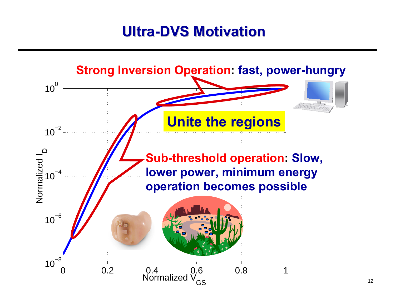# **Ultra-DVS Motivation**

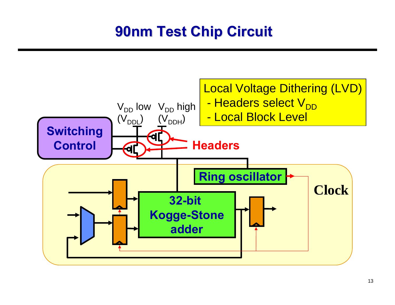# **90nm Test Chip Circuit 90nm Test Chip Circuit**

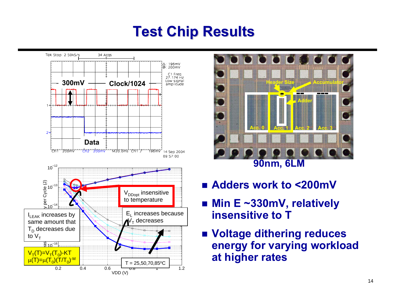# **Test Chip Results Test Chip Results**





- Adders work to <200mV
- **Min E ~330mV, relatively insensitive to T**
- **Voltage dithering reduces energy for varying workload at higher rates**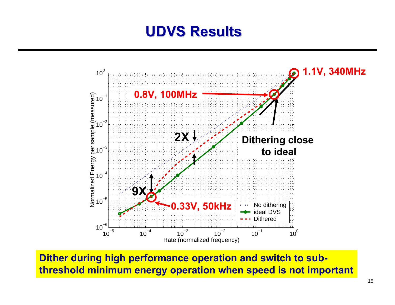### **UDVS Results UDVS Results**



**Dither during high performance operation and switch to subthreshold minimum energy operation when speed is not important**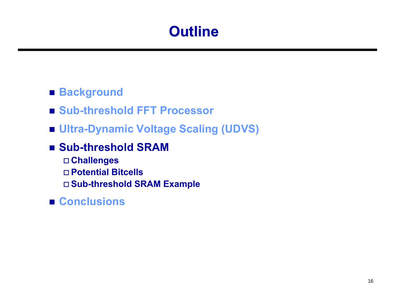# **Outline Outline**

#### **■ Background**

- Sub-threshold FFT Processor
- **Ultra-Dynamic Voltage Scaling (UDVS)**
- Sub-threshold SRAM
	- **Challenges**
	- **Potential Bitcells**
	- **Sub-threshold SRAM Example**
- **Conclusions**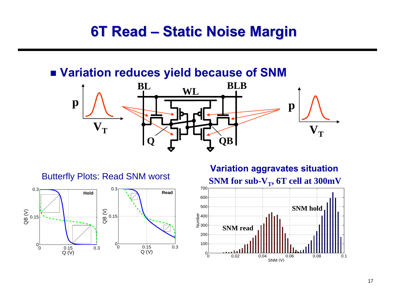### **6T Read – Static Noise Margin**

#### **Variation reduces yield because of SNM**





**SNM for sub-V<sub>T</sub>, 6T cell at 300mV Variation aggravates situation**<br>Butterfly Plots: Read SNM worst<br>Read of SNM worst and SNM for sub V 6T coll at 300mV

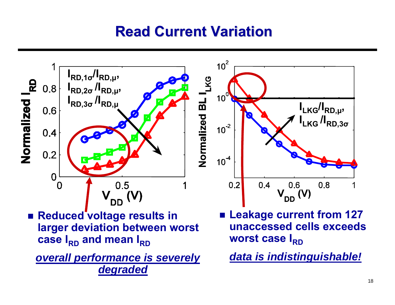## **Read Current Variation Read Current Variation**

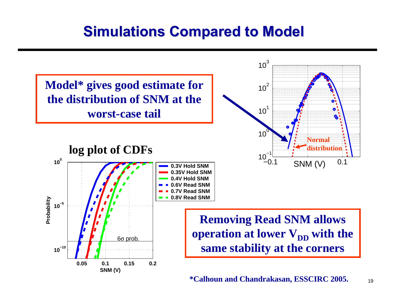### **Simulations Compared to Model Simulations Compared to Model**



19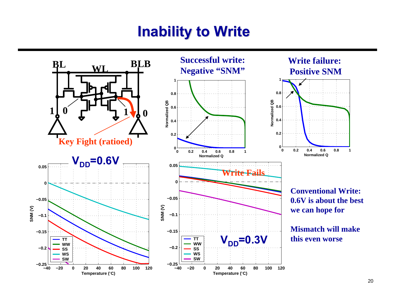### **Inability to Write Inability to Write**

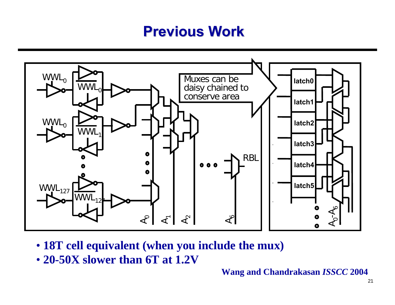### **Previous Work Previous Work**



- **18T cell equivalent (when you include the mux)**
- **20-50X slower than 6T at 1.2V**

**Wang and Chandrakasan** *ISSCC* **2004**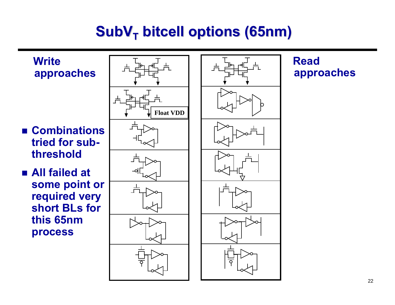## **SubVT bitcell bitcell options (65nm) options (65nm)**

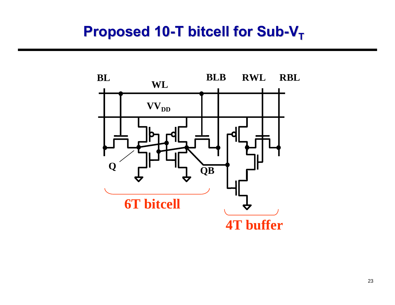### **Proposed 10-T bitcell for Sub-V<sub>T</sub>**

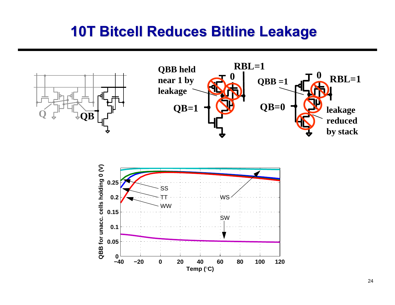### **10T Bitcell Bitcell Reduces Reduces Bitline Bitline Leakage Leakage**





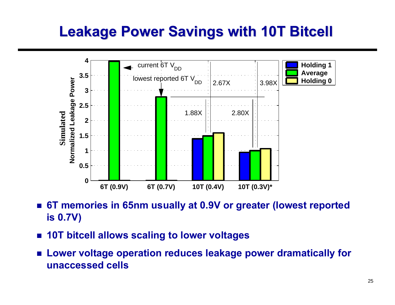## **Leakage Power Savings with 10T Bitcell**



- $\mathcal{L}_{\text{eff}}$  **6T memories in 65nm usually at 0.9V or greater (lowest reported is 0.7V)**
- F. **10T bitcell allows scaling to lower voltages**
- **Lower voltage operation reduces leakage power dramatically for unaccessed cells**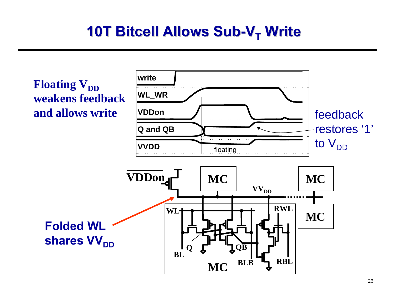## **10T Bitcell Bitcell Allows Sub Allows Sub-VT Write**

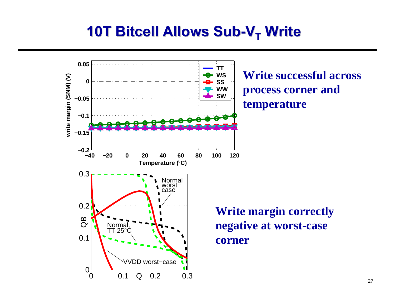### **10T Bitcell Bitcell Allows Sub Allows Sub-VT Write**

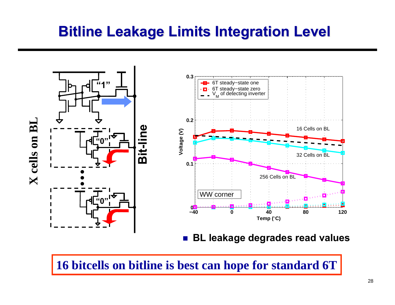### **Bitline Bitline Leakage Limits Integration Level Leakage Limits Integration Level**



**16 bitcells on bitline is best can hope for standard 6T**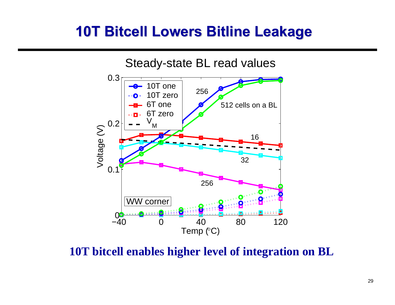### **10T Bitcell Bitcell Lowers Bitline Bitline Leakage Leakage**



**10T bitcell enables higher level of integration on BL**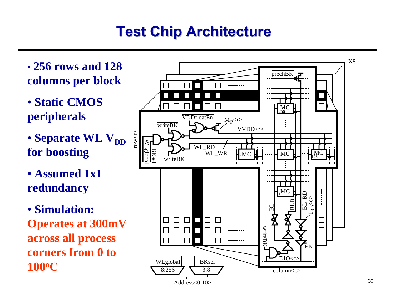# **Test Chip Architecture Test Chip Architecture**

- **256 rows and 128 columns per block**
- **Static CMOS peripherals**
- Separate WL V<sub>DD</sub> **for boosting**
- **Assumed 1x1 redundancy**
- **Simulation: Operates at 300mV across all process corners from 0 to 100 o C**

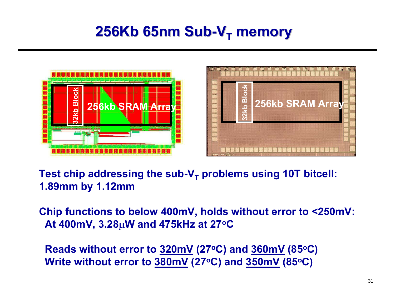### **256Kb 65nm Sub 256Kb 65nm Sub-VT memory**





Test chip addressing the sub-V<sub>T</sub> problems using 10T bitcell: **1.89mm by 1.12mm**

**Chip functions to below 400mV, holds without error to <250mV: At 400mV, 3.28**μ**W and 475kHz at 27oC**

**Reads without error to 320mV (27oC) and 360mV (85oC) Write without error to 380mV (27oC) and 350mV (85oC)**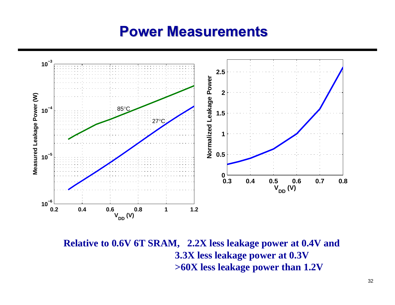### **Power Measurements Power Measurements**



**Relative to 0.6V 6T SRAM, 2.2X less leakage power at 0.4V and 3.3X less leakage power at 0.3V >60X less leakage power than 1.2V**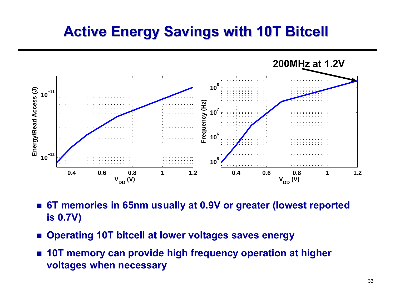## **Active Energy Savings with 10T Bitcell**



- $\mathcal{L}_{\mathcal{A}}$  **6T memories in 65nm usually at 0.9V or greater (lowest reported is 0.7V)**
- Operating 10T bitcell at lower voltages saves energy
- **10T memory can provide high frequency operation at higher voltages when necessary**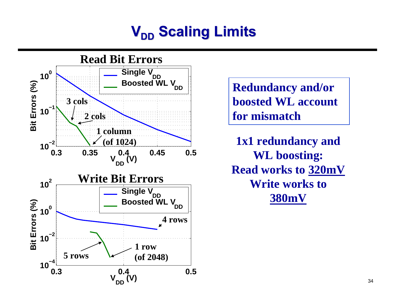# $\mathbf{V}_{\mathsf{DD}}$  Scaling Limits



**Redundancy and/or boosted WL account for mismatch**

**1x1 redundancy and WL boosting: Read works to 320mV Write works to 380mV**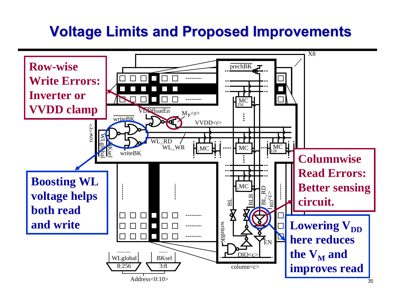### **Voltage Limits and Proposed Improvements Voltage Limits and Proposed Improvements**